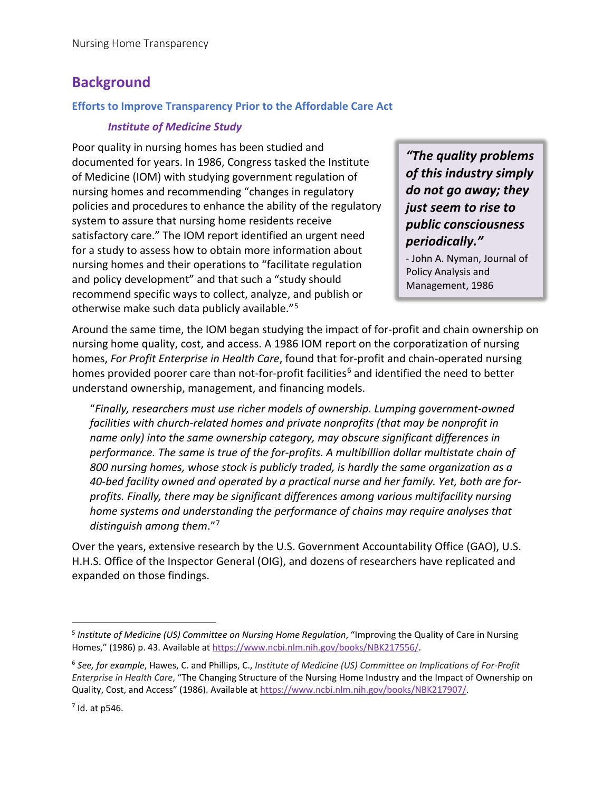# **Background**

## **Efforts to Improve Transparency Prior to the Affordable Care Act**

# *Institute of Medicine Study*

Poor quality in nursing homes has been studied and documented for years. In 1986, Congress tasked the Institute of Medicine (IOM) with studying government regulation of nursing homes and recommending "changes in regulatory policies and procedures to enhance the ability of the regulatory system to assure that nursing home residents receive satisfactory care." The IOM report identified an urgent need for a study to assess how to obtain more information about nursing homes and their operations to "facilitate regulation and policy development" and that such a "study should recommend specific ways to collect, analyze, and publish or otherwise make such data publicly available."[5](#page-0-0)

*"The quality problems of this industry simply do not go away; they just seem to rise to public consciousness periodically."* 

- John A. Nyman, Journal of Policy Analysis and Management, 1986

Around the same time, the IOM began studying the impact of for-profit and chain ownership on nursing home quality, cost, and access. A 1986 IOM report on the corporatization of nursing homes, *For Profit Enterprise in Health Care*, found that for-profit and chain-operated nursing homes provided poorer care than not-for-profit facilities<sup>[6](#page-0-1)</sup> and identified the need to better understand ownership, management, and financing models.

"*Finally, researchers must use richer models of ownership. Lumping government-owned facilities with church-related homes and private nonprofits (that may be nonprofit in name only) into the same ownership category, may obscure significant differences in performance. The same is true of the for-profits. A multibillion dollar multistate chain of 800 nursing homes, whose stock is publicly traded, is hardly the same organization as a 40-bed facility owned and operated by a practical nurse and her family. Yet, both are forprofits. Finally, there may be significant differences among various multifacility nursing home systems and understanding the performance of chains may require analyses that distinguish among them*."[7](#page-0-2)

Over the years, extensive research by the U.S. Government Accountability Office (GAO), U.S. H.H.S. Office of the Inspector General (OIG), and dozens of researchers have replicated and expanded on those findings.

<span id="page-0-0"></span><sup>5</sup> *Institute of Medicine (US) Committee on Nursing Home Regulation*, "Improving the Quality of Care in Nursing Homes," (1986) p. 43. Available at [https://www.ncbi.nlm.nih.gov/books/NBK217556/.](https://www.ncbi.nlm.nih.gov/books/NBK217556/)

<span id="page-0-1"></span><sup>6</sup> *See, for example*, Hawes, C. and Phillips, C., *Institute of Medicine (US) Committee on Implications of For-Profit Enterprise in Health Care*, "The Changing Structure of the Nursing Home Industry and the Impact of Ownership on Quality, Cost, and Access" (1986). Available at [https://www.ncbi.nlm.nih.gov/books/NBK217907/.](https://www.ncbi.nlm.nih.gov/books/NBK217907/)

<span id="page-0-2"></span> $<sup>7</sup>$  Id. at p546.</sup>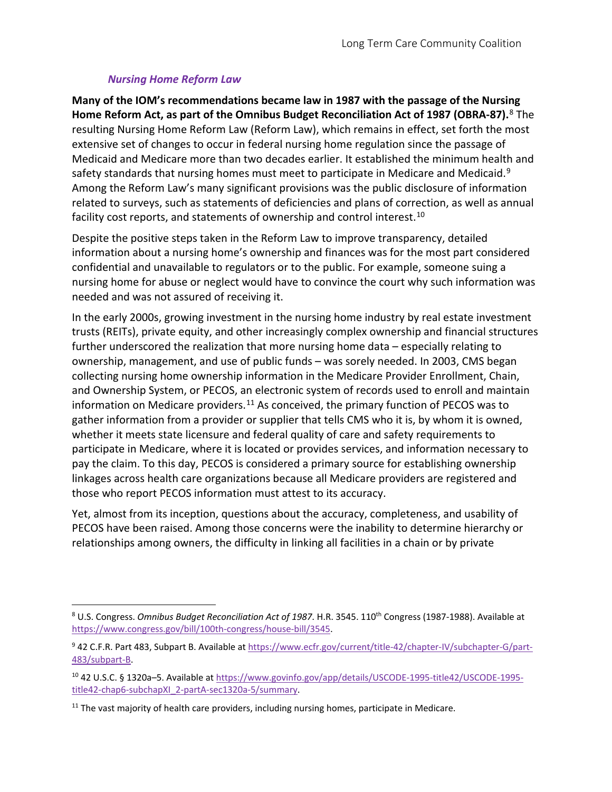# *Nursing Home Reform Law*

**Many of the IOM's recommendations became law in 1987 with the passage of the Nursing Home Reform Act, as part of the Omnibus Budget Reconciliation Act of 1987 (OBRA-87).** [8](#page-1-0) The resulting Nursing Home Reform Law (Reform Law), which remains in effect, set forth the most extensive set of changes to occur in federal nursing home regulation since the passage of Medicaid and Medicare more than two decades earlier. It established the minimum health and safety standards that nursing homes must meet to participate in Medicare and Medicaid.<sup>[9](#page-1-1)</sup> Among the Reform Law's many significant provisions was the public disclosure of information related to surveys, such as statements of deficiencies and plans of correction, as well as annual facility cost reports, and statements of ownership and control interest.<sup>[10](#page-1-2)</sup>

Despite the positive steps taken in the Reform Law to improve transparency, detailed information about a nursing home's ownership and finances was for the most part considered confidential and unavailable to regulators or to the public. For example, someone suing a nursing home for abuse or neglect would have to convince the court why such information was needed and was not assured of receiving it.

In the early 2000s, growing investment in the nursing home industry by real estate investment trusts (REITs), private equity, and other increasingly complex ownership and financial structures further underscored the realization that more nursing home data – especially relating to ownership, management, and use of public funds – was sorely needed. In 2003, CMS began collecting nursing home ownership information in the Medicare Provider Enrollment, Chain, and Ownership System, or PECOS, an electronic system of records used to enroll and maintain information on Medicare providers.<sup>[11](#page-1-3)</sup> As conceived, the primary function of PECOS was to gather information from a provider or supplier that tells CMS who it is, by whom it is owned, whether it meets state licensure and federal quality of care and safety requirements to participate in Medicare, where it is located or provides services, and information necessary to pay the claim. To this day, PECOS is considered a primary source for establishing ownership linkages across health care organizations because all Medicare providers are registered and those who report PECOS information must attest to its accuracy.

Yet, almost from its inception, questions about the accuracy, completeness, and usability of PECOS have been raised. Among those concerns were the inability to determine hierarchy or relationships among owners, the difficulty in linking all facilities in a chain or by private

<span id="page-1-0"></span><sup>8</sup> U.S. Congress. *Omnibus Budget Reconciliation Act of 1987*. H.R. 3545. 110th Congress (1987-1988). Available at [https://www.congress.gov/bill/100th-congress/house-bill/3545.](https://www.congress.gov/bill/100th-congress/house-bill/3545)

<span id="page-1-1"></span><sup>&</sup>lt;sup>9</sup> 42 C.F.R. Part 483, Subpart B. Available a[t https://www.ecfr.gov/current/title-42/chapter-IV/subchapter-G/part-](https://www.ecfr.gov/current/title-42/chapter-IV/subchapter-G/part-483/subpart-B)[483/subpart-B.](https://www.ecfr.gov/current/title-42/chapter-IV/subchapter-G/part-483/subpart-B)

<span id="page-1-2"></span><sup>10</sup> 42 U.S.C. § 1320a–5. Available at [https://www.govinfo.gov/app/details/USCODE-1995-title42/USCODE-1995](https://www.govinfo.gov/app/details/USCODE-1995-title42/USCODE-1995-title42-chap6-subchapXI_2-partA-sec1320a-5/summary) [title42-chap6-subchapXI\\_2-partA-sec1320a-5/summary.](https://www.govinfo.gov/app/details/USCODE-1995-title42/USCODE-1995-title42-chap6-subchapXI_2-partA-sec1320a-5/summary)

<span id="page-1-3"></span><sup>&</sup>lt;sup>11</sup> The vast majority of health care providers, including nursing homes, participate in Medicare.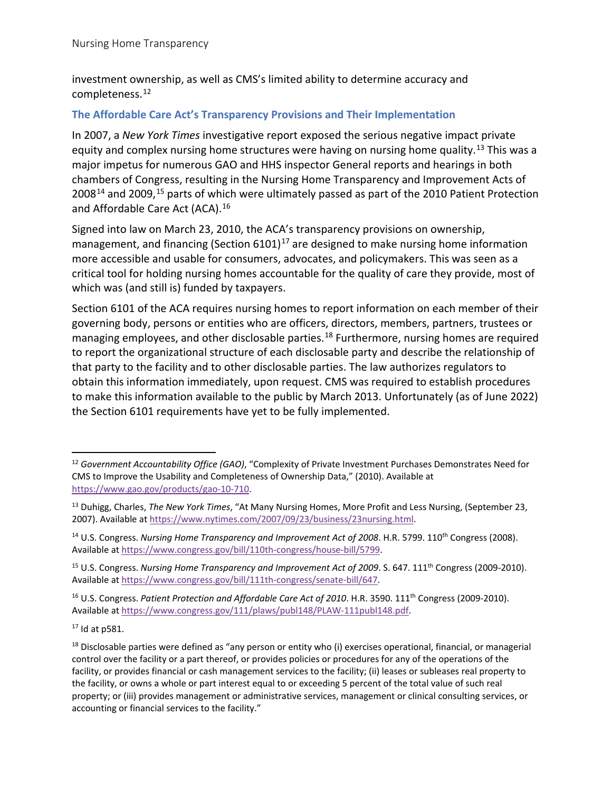investment ownership, as well as CMS's limited ability to determine accuracy and completeness. [12](#page-2-0)

#### **The Affordable Care Act's Transparency Provisions and Their Implementation**

In 2007, a *New York Times* investigative report exposed the serious negative impact private equity and complex nursing home structures were having on nursing home quality.<sup>[13](#page-2-1)</sup> This was a major impetus for numerous GAO and HHS inspector General reports and hearings in both chambers of Congress, resulting in the Nursing Home Transparency and Improvement Acts of 2008<sup>[14](#page-2-2)</sup> and 2009,<sup>[15](#page-2-3)</sup> parts of which were ultimately passed as part of the 2010 Patient Protection and Affordable Care Act (ACA).<sup>[16](#page-2-4)</sup>

Signed into law on March 23, 2010, the ACA's transparency provisions on ownership, management, and financing (Section  $6101$ )<sup>[17](#page-2-5)</sup> are designed to make nursing home information more accessible and usable for consumers, advocates, and policymakers. This was seen as a critical tool for holding nursing homes accountable for the quality of care they provide, most of which was (and still is) funded by taxpayers.

Section 6101 of the ACA requires nursing homes to report information on each member of their governing body, persons or entities who are officers, directors, members, partners, trustees or managing employees, and other disclosable parties. [18](#page-2-6) Furthermore, nursing homes are required to report the organizational structure of each disclosable party and describe the relationship of that party to the facility and to other disclosable parties. The law authorizes regulators to obtain this information immediately, upon request. CMS was required to establish procedures to make this information available to the public by March 2013. Unfortunately (as of June 2022) the Section 6101 requirements have yet to be fully implemented.

<span id="page-2-0"></span><sup>12</sup> *Government Accountability Office (GAO)*, "Complexity of Private Investment Purchases Demonstrates Need for CMS to Improve the Usability and Completeness of Ownership Data," (2010). Available at [https://www.gao.gov/products/gao-10-710.](https://www.gao.gov/products/gao-10-710) 

<span id="page-2-1"></span><sup>13</sup> Duhigg, Charles, *The New York Times*, "At Many Nursing Homes, More Profit and Less Nursing, (September 23, 2007). Available a[t https://www.nytimes.com/2007/09/23/business/23nursing.html.](https://www.nytimes.com/2007/09/23/business/23nursing.html)

<span id="page-2-2"></span><sup>&</sup>lt;sup>14</sup> U.S. Congress. *Nursing Home Transparency and Improvement Act of 2008*. H.R. 5799. 110<sup>th</sup> Congress (2008). Available a[t https://www.congress.gov/bill/110th-congress/house-bill/5799.](https://www.congress.gov/bill/110th-congress/house-bill/5799) 

<span id="page-2-3"></span><sup>&</sup>lt;sup>15</sup> U.S. Congress. *Nursing Home Transparency and Improvement Act of 2009*. S. 647. 111<sup>th</sup> Congress (2009-2010). Available a[t https://www.congress.gov/bill/111th-congress/senate-bill/647.](https://www.congress.gov/bill/111th-congress/senate-bill/647)

<span id="page-2-4"></span><sup>&</sup>lt;sup>16</sup> U.S. Congress. Patient Protection and Affordable Care Act of 2010. H.R. 3590. 111<sup>th</sup> Congress (2009-2010). Available a[t https://www.congress.gov/111/plaws/publ148/PLAW-111publ148.pdf.](https://www.congress.gov/111/plaws/publ148/PLAW-111publ148.pdf)

<span id="page-2-5"></span> $17$  Id at p581.

<span id="page-2-6"></span> $18$  Disclosable parties were defined as "any person or entity who (i) exercises operational, financial, or managerial control over the facility or a part thereof, or provides policies or procedures for any of the operations of the facility, or provides financial or cash management services to the facility; (ii) leases or subleases real property to the facility, or owns a whole or part interest equal to or exceeding 5 percent of the total value of such real property; or (iii) provides management or administrative services, management or clinical consulting services, or accounting or financial services to the facility."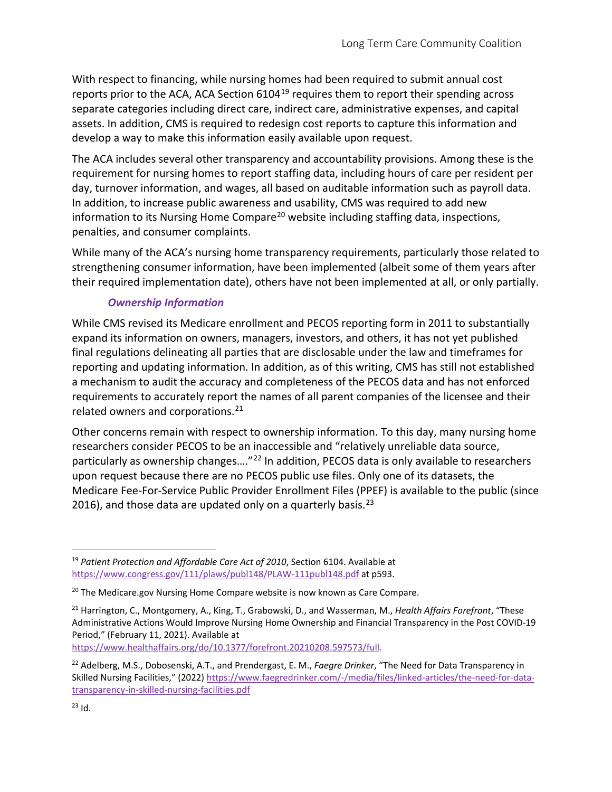With respect to financing, while nursing homes had been required to submit annual cost reports prior to the ACA, ACA Section 6104<sup>[19](#page-3-0)</sup> requires them to report their spending across separate categories including direct care, indirect care, administrative expenses, and capital assets. In addition, CMS is required to redesign cost reports to capture this information and develop a way to make this information easily available upon request.

The ACA includes several other transparency and accountability provisions. Among these is the requirement for nursing homes to report staffing data, including hours of care per resident per day, turnover information, and wages, all based on auditable information such as payroll data. In addition, to increase public awareness and usability, CMS was required to add new information to its Nursing Home Compare<sup>[20](#page-3-1)</sup> website including staffing data, inspections, penalties, and consumer complaints.

While many of the ACA's nursing home transparency requirements, particularly those related to strengthening consumer information, have been implemented (albeit some of them years after their required implementation date), others have not been implemented at all, or only partially.

# *Ownership Information*

While CMS revised its Medicare enrollment and PECOS reporting form in 2011 to substantially expand its information on owners, managers, investors, and others, it has not yet published final regulations delineating all parties that are disclosable under the law and timeframes for reporting and updating information. In addition, as of this writing, CMS has still not established a mechanism to audit the accuracy and completeness of the PECOS data and has not enforced requirements to accurately report the names of all parent companies of the licensee and their related owners and corporations.<sup>[21](#page-3-2)</sup>

Other concerns remain with respect to ownership information. To this day, many nursing home researchers consider PECOS to be an inaccessible and "relatively unreliable data source, particularly as ownership changes...."<sup>[22](#page-3-3)</sup> In addition, PECOS data is only available to researchers upon request because there are no PECOS public use files. Only one of its datasets, the Medicare Fee-For-Service Public Provider Enrollment Files (PPEF) is available to the public (since 2016), and those data are updated only on a quarterly basis.<sup>[23](#page-3-4)</sup>

[https://www.healthaffairs.org/do/10.1377/forefront.20210208.597573/full.](https://www.healthaffairs.org/do/10.1377/forefront.20210208.597573/full)

<span id="page-3-0"></span><sup>19</sup> *Patient Protection and Affordable Care Act of 2010*, Section 6104. Available at <https://www.congress.gov/111/plaws/publ148/PLAW-111publ148.pdf> at p593.

<span id="page-3-1"></span><sup>&</sup>lt;sup>20</sup> The Medicare.gov Nursing Home Compare website is now known as Care Compare.

<span id="page-3-2"></span><sup>21</sup> Harrington, C., Montgomery, A., King, T., Grabowski, D., and Wasserman, M., *Health Affairs Forefront*, "These Administrative Actions Would Improve Nursing Home Ownership and Financial Transparency in the Post COVID-19 Period," (February 11, 2021). Available at

<span id="page-3-4"></span><span id="page-3-3"></span><sup>22</sup> Adelberg, M.S., Dobosenski, A.T., and Prendergast, E. M., *Faegre Drinker*, "The Need for Data Transparency in Skilled Nursing Facilities," (2022[\) https://www.faegredrinker.com/-/media/files/linked-articles/the-need-for-data](https://www.faegredrinker.com/-/media/files/linked-articles/the-need-for-data-transparency-in-skilled-nursing-facilities.pdf)[transparency-in-skilled-nursing-facilities.pdf](https://www.faegredrinker.com/-/media/files/linked-articles/the-need-for-data-transparency-in-skilled-nursing-facilities.pdf)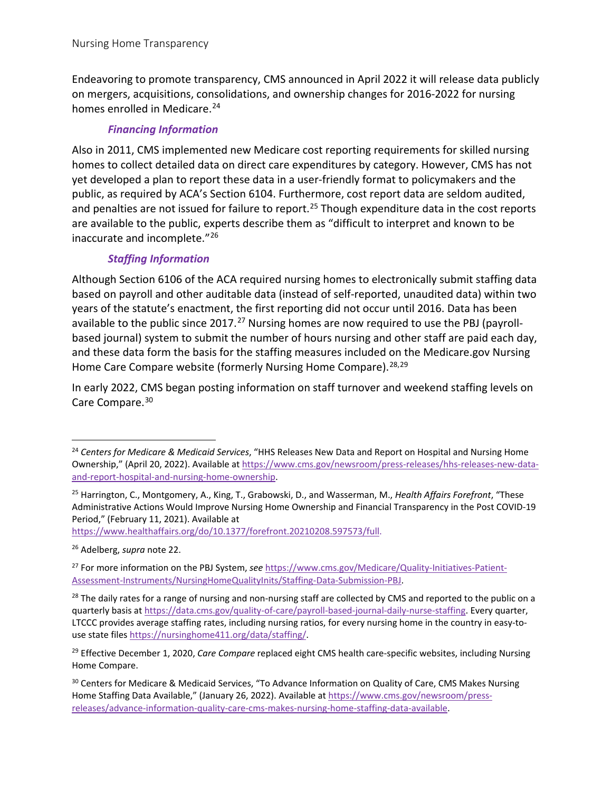Endeavoring to promote transparency, CMS announced in April 2022 it will release data publicly on mergers, acquisitions, consolidations, and ownership changes for 2016-2022 for nursing homes enrolled in Medicare.<sup>24</sup>

## *Financing Information*

Also in 2011, CMS implemented new Medicare cost reporting requirements for skilled nursing homes to collect detailed data on direct care expenditures by category. However, CMS has not yet developed a plan to report these data in a user-friendly format to policymakers and the public, as required by ACA's Section 6104. Furthermore, cost report data are seldom audited, and penalties are not issued for failure to report.<sup>[25](#page-4-1)</sup> Though expenditure data in the cost reports are available to the public, experts describe them as "difficult to interpret and known to be inaccurate and incomplete."[26](#page-4-2)

# *Staffing Information*

Although Section 6106 of the ACA required nursing homes to electronically submit staffing data based on payroll and other auditable data (instead of self-reported, unaudited data) within two years of the statute's enactment, the first reporting did not occur until 2016. Data has been available to the public since 2017.<sup>[27](#page-4-3)</sup> Nursing homes are now required to use the PBJ (payrollbased journal) system to submit the number of hours nursing and other staff are paid each day, and these data form the basis for the staffing measures included on the Medicare.gov Nursing Home Care Compare website (formerly Nursing Home Compare).<sup>[28,](#page-4-4)[29](#page-4-5)</sup>

In early 2022, CMS began posting information on staff turnover and weekend staffing levels on Care Compare. [30](#page-4-6)

[https://www.healthaffairs.org/do/10.1377/forefront.20210208.597573/full.](https://www.healthaffairs.org/do/10.1377/forefront.20210208.597573/full)

<span id="page-4-2"></span><sup>26</sup> Adelberg, *supra* note 22.

<span id="page-4-0"></span><sup>24</sup> *Centers for Medicare & Medicaid Services*, "HHS Releases New Data and Report on Hospital and Nursing Home Ownership," (April 20, 2022). Available a[t https://www.cms.gov/newsroom/press-releases/hhs-releases-new-data](https://www.cms.gov/newsroom/press-releases/hhs-releases-new-data-and-report-hospital-and-nursing-home-ownership)[and-report-hospital-and-nursing-home-ownership.](https://www.cms.gov/newsroom/press-releases/hhs-releases-new-data-and-report-hospital-and-nursing-home-ownership)

<span id="page-4-1"></span><sup>25</sup> Harrington, C., Montgomery, A., King, T., Grabowski, D., and Wasserman, M., *Health Affairs Forefront*, "These Administrative Actions Would Improve Nursing Home Ownership and Financial Transparency in the Post COVID-19 Period," (February 11, 2021). Available at

<span id="page-4-3"></span><sup>27</sup> For more information on the PBJ System, *see* [https://www.cms.gov/Medicare/Quality-Initiatives-Patient-](https://www.cms.gov/Medicare/Quality-Initiatives-Patient-Assessment-Instruments/NursingHomeQualityInits/Staffing-Data-Submission-PBJ)[Assessment-Instruments/NursingHomeQualityInits/Staffing-Data-Submission-PBJ.](https://www.cms.gov/Medicare/Quality-Initiatives-Patient-Assessment-Instruments/NursingHomeQualityInits/Staffing-Data-Submission-PBJ)

<span id="page-4-4"></span><sup>&</sup>lt;sup>28</sup> The daily rates for a range of nursing and non-nursing staff are collected by CMS and reported to the public on a quarterly basis a[t https://data.cms.gov/quality-of-care/payroll-based-journal-daily-nurse-staffing.](https://data.cms.gov/quality-of-care/payroll-based-journal-daily-nurse-staffing) Every quarter, LTCCC provides average staffing rates, including nursing ratios, for every nursing home in the country in easy-touse state files [https://nursinghome411.org/data/staffing/.](https://nursinghome411.org/data/staffing/) 

<span id="page-4-5"></span><sup>29</sup> Effective December 1, 2020, *Care Compare* replaced eight CMS health care-specific websites, including Nursing Home Compare.

<span id="page-4-6"></span><sup>&</sup>lt;sup>30</sup> Centers for Medicare & Medicaid Services, "To Advance Information on Quality of Care, CMS Makes Nursing Home Staffing Data Available," (January 26, 2022). Available a[t https://www.cms.gov/newsroom/press](https://www.cms.gov/newsroom/press-releases/advance-information-quality-care-cms-makes-nursing-home-staffing-data-available)[releases/advance-information-quality-care-cms-makes-nursing-home-staffing-data-available.](https://www.cms.gov/newsroom/press-releases/advance-information-quality-care-cms-makes-nursing-home-staffing-data-available)